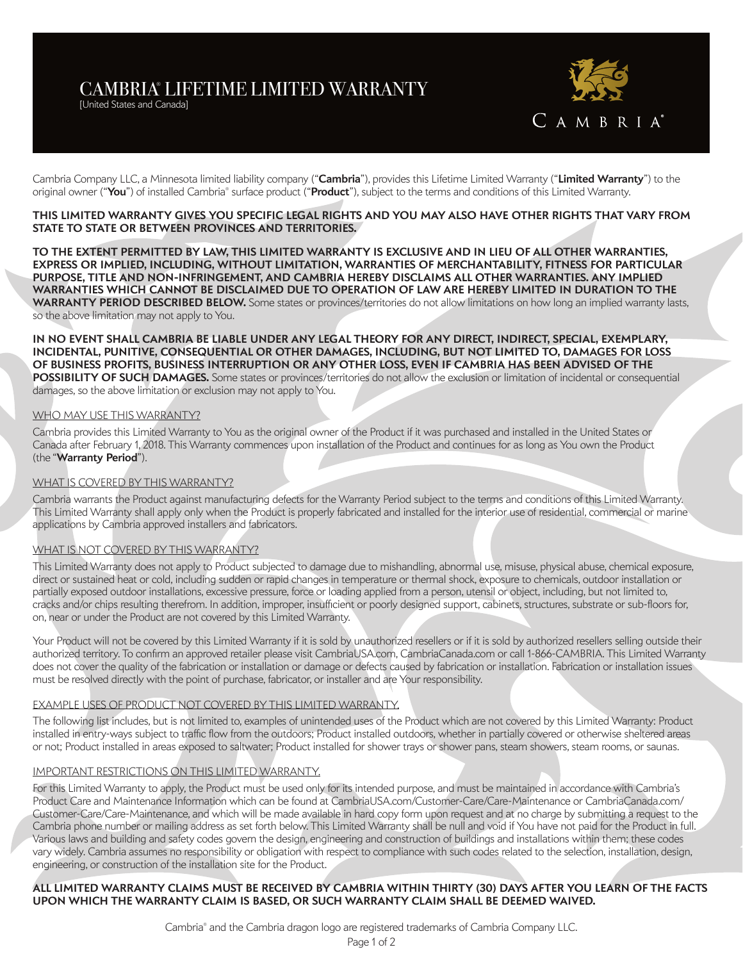# CAMBRIA® LIFETIME LIMITED WARRANTY

[United States and Canada]



Cambria Company LLC, a Minnesota limited liability company ("**Cambria**"), provides this Lifetime Limited Warranty ("**Limited Warranty**") to the original owner ("**You**") of installed Cambria® surface product ("**Product**"), subject to the terms and conditions of this Limited Warranty.

### **THIS LIMITED WARRANTY GIVES YOU SPECIFIC LEGAL RIGHTS AND YOU MAY ALSO HAVE OTHER RIGHTS THAT VARY FROM STATE TO STATE OR BETWEEN PROVINCES AND TERRITORIES.**

**TO THE EXTENT PERMITTED BY LAW, THIS LIMITED WARRANTY IS EXCLUSIVE AND IN LIEU OF ALL OTHER WARRANTIES, EXPRESS OR IMPLIED, INCLUDING, WITHOUT LIMITATION, WARRANTIES OF MERCHANTABILITY, FITNESS FOR PARTICULAR PURPOSE, TITLE AND NON-INFRINGEMENT, AND CAMBRIA HEREBY DISCLAIMS ALL OTHER WARRANTIES. ANY IMPLIED WARRANTIES WHICH CANNOT BE DISCLAIMED DUE TO OPERATION OF LAW ARE HEREBY LIMITED IN DURATION TO THE WARRANTY PERIOD DESCRIBED BELOW.** Some states or provinces/territories do not allow limitations on how long an implied warranty lasts, so the above limitation may not apply to You.

#### **IN NO EVENT SHALL CAMBRIA BE LIABLE UNDER ANY LEGAL THEORY FOR ANY DIRECT, INDIRECT, SPECIAL, EXEMPLARY, INCIDENTAL, PUNITIVE, CONSEQUENTIAL OR OTHER DAMAGES, INCLUDING, BUT NOT LIMITED TO, DAMAGES FOR LOSS OF BUSINESS PROFITS, BUSINESS INTERRUPTION OR ANY OTHER LOSS, EVEN IF CAMBRIA HAS BEEN ADVISED OF THE POSSIBILITY OF SUCH DAMAGES.** Some states or provinces/territories do not allow the exclusion or limitation of incidental or consequential

damages, so the above limitation or exclusion may not apply to You.

## WHO MAY USE THIS WARRANTY?

Cambria provides this Limited Warranty to You as the original owner of the Product if it was purchased and installed in the United States or Canada after February 1, 2018. This Warranty commences upon installation of the Product and continues for as long as You own the Product (the "**Warranty Period**").

# WHAT IS COVERED BY THIS WARRANTY?

Cambria warrants the Product against manufacturing defects for the Warranty Period subject to the terms and conditions of this Limited Warranty. This Limited Warranty shall apply only when the Product is properly fabricated and installed for the interior use of residential, commercial or marine applications by Cambria approved installers and fabricators.

# WHAT IS NOT COVERED BY THIS WARRANTY?

This Limited Warranty does not apply to Product subjected to damage due to mishandling, abnormal use, misuse, physical abuse, chemical exposure, direct or sustained heat or cold, including sudden or rapid changes in temperature or thermal shock, exposure to chemicals, outdoor installation or partially exposed outdoor installations, excessive pressure, force or loading applied from a person, utensil or object, including, but not limited to, cracks and/or chips resulting therefrom. In addition, improper, insufficient or poorly designed support, cabinets, structures, substrate or sub-floors for, on, near or under the Product are not covered by this Limited Warranty.

Your Product will not be covered by this Limited Warranty if it is sold by unauthorized resellers or if it is sold by authorized resellers selling outside their authorized territory. To confirm an approved retailer please visit CambriaUSA.com, CambriaCanada.com or call 1-866-CAMBRIA. This Limited Warranty does not cover the quality of the fabrication or installation or damage or defects caused by fabrication or installation. Fabrication or installation issues must be resolved directly with the point of purchase, fabricator, or installer and are Your responsibility.

### EXAMPLE USES OF PRODUCT NOT COVERED BY THIS LIMITED WARRANTY.

The following list includes, but is not limited to, examples of unintended uses of the Product which are not covered by this Limited Warranty: Product installed in entry-ways subject to traffic flow from the outdoors; Product installed outdoors, whether in partially covered or otherwise sheltered areas or not; Product installed in areas exposed to saltwater; Product installed for shower trays or shower pans, steam showers, steam rooms, or saunas.

# IMPORTANT RESTRICTIONS ON THIS LIMITED WARRANTY.

For this Limited Warranty to apply, the Product must be used only for its intended purpose, and must be maintained in accordance with Cambria's Product Care and Maintenance Information which can be found at CambriaUSA.com/Customer-Care/Care-Maintenance or CambriaCanada.com/ Customer-Care/Care-Maintenance, and which will be made available in hard copy form upon request and at no charge by submitting a request to the Cambria phone number or mailing address as set forth below. This Limited Warranty shall be null and void if You have not paid for the Product in full. Various laws and building and safety codes govern the design, engineering and construction of buildings and installations within them; these codes vary widely. Cambria assumes no responsibility or obligation with respect to compliance with such codes related to the selection, installation, design, engineering, or construction of the installation site for the Product.

# **ALL LIMITED WARRANTY CLAIMS MUST BE RECEIVED BY CAMBRIA WITHIN THIRTY (30) DAYS AFTER YOU LEARN OF THE FACTS UPON WHICH THE WARRANTY CLAIM IS BASED, OR SUCH WARRANTY CLAIM SHALL BE DEEMED WAIVED.**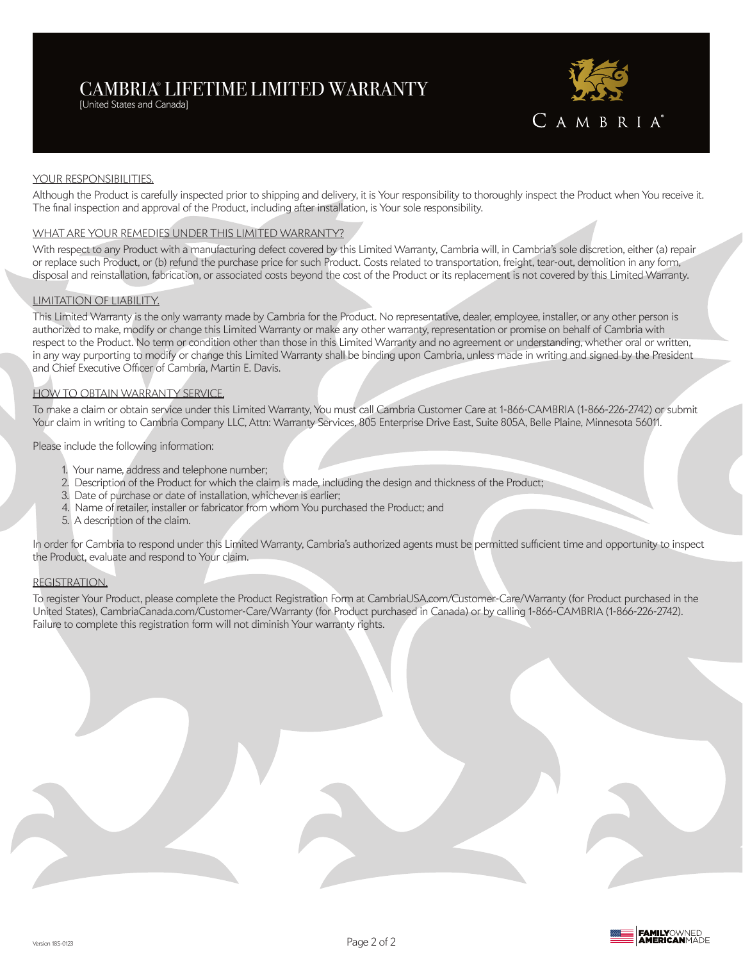# CAMBRIA® LIFETIME LIMITED WARRANTY

[United States and Canada]



### YOUR RESPONSIBILITIES.

Although the Product is carefully inspected prior to shipping and delivery, it is Your responsibility to thoroughly inspect the Product when You receive it. The final inspection and approval of the Product, including after installation, is Your sole responsibility.

### WHAT ARE YOUR REMEDIES UNDER THIS LIMITED WARRANTY?

With respect to any Product with a manufacturing defect covered by this Limited Warranty, Cambria will, in Cambria's sole discretion, either (a) repair or replace such Product, or (b) refund the purchase price for such Product. Costs related to transportation, freight, tear-out, demolition in any form, disposal and reinstallation, fabrication, or associated costs beyond the cost of the Product or its replacement is not covered by this Limited Warranty.

### LIMITATION OF LIABILITY.

This Limited Warranty is the only warranty made by Cambria for the Product. No representative, dealer, employee, installer, or any other person is authorized to make, modify or change this Limited Warranty or make any other warranty, representation or promise on behalf of Cambria with respect to the Product. No term or condition other than those in this Limited Warranty and no agreement or understanding, whether oral or written, in any way purporting to modify or change this Limited Warranty shall be binding upon Cambria, unless made in writing and signed by the President and Chief Executive Officer of Cambria, Martin E. Davis.

## HOW TO OBTAIN WARRANTY SERVICE.

To make a claim or obtain service under this Limited Warranty, You must call Cambria Customer Care at 1-866-CAMBRIA (1-866-226-2742) or submit Your claim in writing to Cambria Company LLC, Attn: Warranty Services, 805 Enterprise Drive East, Suite 805A, Belle Plaine, Minnesota 56011.

Please include the following information:

- 1. Your name, address and telephone number;
- 2. Description of the Product for which the claim is made, including the design and thickness of the Product;
- 3. Date of purchase or date of installation, whichever is earlier;
- 4. Name of retailer, installer or fabricator from whom You purchased the Product; and
- 5. A description of the claim.

In order for Cambria to respond under this Limited Warranty, Cambria's authorized agents must be permitted sufficient time and opportunity to inspect the Product, evaluate and respond to Your claim.

### REGISTRATION.

To register Your Product, please complete the Product Registration Form at CambriaUSA.com/Customer-Care/Warranty (for Product purchased in the United States), CambriaCanada.com/Customer-Care/Warranty (for Product purchased in Canada) or by calling 1-866-CAMBRIA (1-866-226-2742). Failure to complete this registration form will not diminish Your warranty rights.

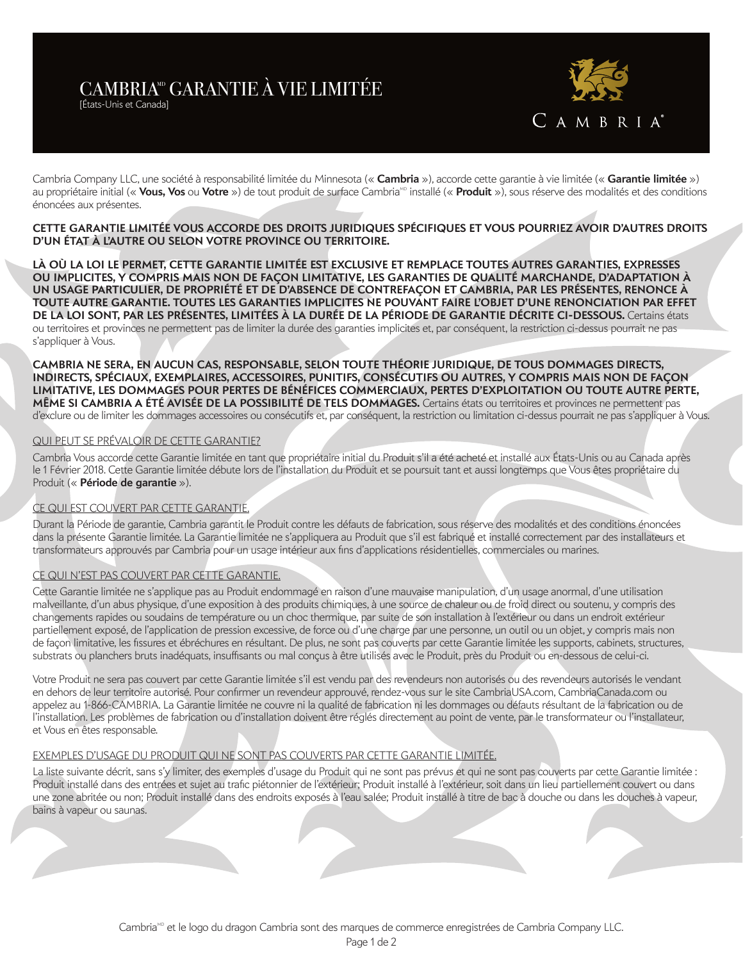# CAMBRIA<sup>®</sup> GARANTIE À VIE LIMITÉE

[États-Unis et Canada]



Cambria Company LLC, une société à responsabilité limitée du Minnesota (« **Cambria** »), accorde cette garantie à vie limitée (« **Garantie limitée** ») au propriétaire initial (« **Vous, Vos** ou **Votre** ») de tout produit de surface Cambria<sup>xo</sup> installé (« **Produit** »), sous réserve des modalités et des conditions énoncées aux présentes.

## **CETTE GARANTIE LIMITÉE VOUS ACCORDE DES DROITS JURIDIQUES SPÉCIFIQUES ET VOUS POURRIEZ AVOIR D'AUTRES DROITS D'UN ÉTAT À L'AUTRE OU SELON VOTRE PROVINCE OU TERRITOIRE.**

**LÀ OÙ LA LOI LE PERMET, CETTE GARANTIE LIMITÉE EST EXCLUSIVE ET REMPLACE TOUTES AUTRES GARANTIES, EXPRESSES OU IMPLICITES, Y COMPRIS MAIS NON DE FAÇON LIMITATIVE, LES GARANTIES DE QUALITÉ MARCHANDE, D'ADAPTATION À UN USAGE PARTICULIER, DE PROPRIÉTÉ ET DE D'ABSENCE DE CONTREFAÇON ET CAMBRIA, PAR LES PRÉSENTES, RENONCE À TOUTE AUTRE GARANTIE. TOUTES LES GARANTIES IMPLICITES NE POUVANT FAIRE L'OBJET D'UNE RENONCIATION PAR EFFET DE LA LOI SONT, PAR LES PRÉSENTES, LIMITÉES À LA DURÉE DE LA PÉRIODE DE GARANTIE DÉCRITE CI-DESSOUS.** Certains états ou territoires et provinces ne permettent pas de limiter la durée des garanties implicites et, par conséquent, la restriction ci-dessus pourrait ne pas s'appliquer à Vous.

**CAMBRIA NE SERA, EN AUCUN CAS, RESPONSABLE, SELON TOUTE THÉORIE JURIDIQUE, DE TOUS DOMMAGES DIRECTS, INDIRECTS, SPÉCIAUX, EXEMPLAIRES, ACCESSOIRES, PUNITIFS, CONSÉCUTIFS OU AUTRES, Y COMPRIS MAIS NON DE FAÇON LIMITATIVE, LES DOMMAGES POUR PERTES DE BÉNÉFICES COMMERCIAUX, PERTES D'EXPLOITATION OU TOUTE AUTRE PERTE, MÊME SI CAMBRIA A ÉTÉ AVISÉE DE LA POSSIBILITÉ DE TELS DOMMAGES.** Certains états ou territoires et provinces ne permettent pas d'exclure ou de limiter les dommages accessoires ou consécutifs et, par conséquent, la restriction ou limitation ci-dessus pourrait ne pas s'appliquer à Vous.

## QUI PEUT SE PRÉVALOIR DE CETTE GARANTIE?

Cambria Vous accorde cette Garantie limitée en tant que propriétaire initial du Produit s'il a été acheté et installé aux États-Unis ou au Canada après le 1 Février 2018. Cette Garantie limitée débute lors de l'installation du Produit et se poursuit tant et aussi longtemps que Vous êtes propriétaire du Produit (« **Période de garantie** »).

### CE QUI EST COUVERT PAR CETTE GARANTIE.

Durant la Période de garantie, Cambria garantit le Produit contre les défauts de fabrication, sous réserve des modalités et des conditions énoncées dans la présente Garantie limitée. La Garantie limitée ne s'appliquera au Produit que s'il est fabriqué et installé correctement par des installateurs et transformateurs approuvés par Cambria pour un usage intérieur aux fins d'applications résidentielles, commerciales ou marines.

### CE QUI N'EST PAS COUVERT PAR CETTE GARANTIE.

Cette Garantie limitée ne s'applique pas au Produit endommagé en raison d'une mauvaise manipulation, d'un usage anormal, d'une utilisation malveillante, d'un abus physique, d'une exposition à des produits chimiques, à une source de chaleur ou de froid direct ou soutenu, y compris des changements rapides ou soudains de température ou un choc thermique, par suite de son installation à l'extérieur ou dans un endroit extérieur partiellement exposé, de l'application de pression excessive, de force ou d'une charge par une personne, un outil ou un objet, y compris mais non de façon limitative, les fissures et ébréchures en résultant. De plus, ne sont pas couverts par cette Garantie limitée les supports, cabinets, structures, substrats ou planchers bruts inadéquats, insuffisants ou mal conçus à être utilisés avec le Produit, près du Produit ou en-dessous de celui-ci.

Votre Produit ne sera pas couvert par cette Garantie limitée s'il est vendu par des revendeurs non autorisés ou des revendeurs autorisés le vendant en dehors de leur territoire autorisé. Pour confirmer un revendeur approuvé, rendez-vous sur le site CambriaUSA.com, CambriaCanada.com ou appelez au 1-866-CAMBRIA. La Garantie limitée ne couvre ni la qualité de fabrication ni les dommages ou défauts résultant de la fabrication ou de l'installation. Les problèmes de fabrication ou d'installation doivent être réglés directement au point de vente, par le transformateur ou l'installateur, et Vous en êtes responsable.

### EXEMPLES D'USAGE DU PRODUIT QUI NE SONT PAS COUVERTS PAR CETTE GARANTIE LIMITÉE.

La liste suivante décrit, sans s'y limiter, des exemples d'usage du Produit qui ne sont pas prévus et qui ne sont pas couverts par cette Garantie limitée : Produit installé dans des entrées et sujet au trafic piétonnier de l'extérieur; Produit installé à l'extérieur, soit dans un lieu partiellement couvert ou dans une zone abritée ou non; Produit installé dans des endroits exposés à l'eau salée; Produit installé à titre de bac à douche ou dans les douches à vapeur, bains à vapeur ou saunas.